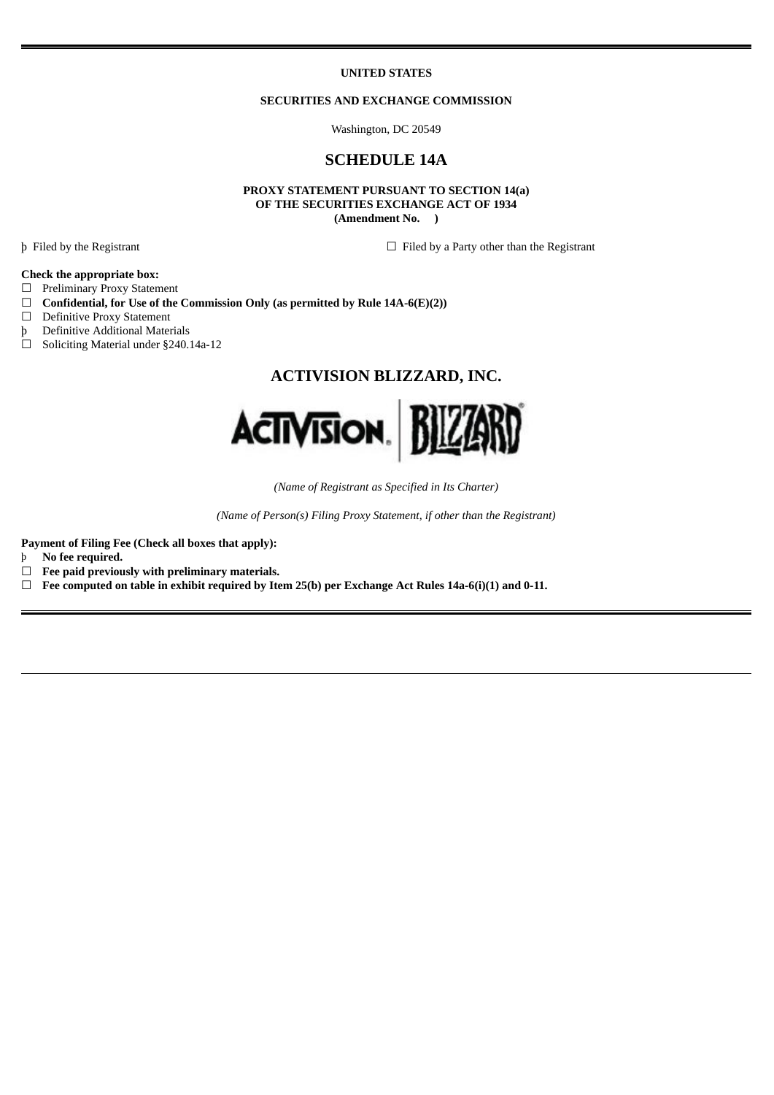#### **UNITED STATES**

### **SECURITIES AND EXCHANGE COMMISSION**

Washington, DC 20549

## **SCHEDULE 14A**

**PROXY STATEMENT PURSUANT TO SECTION 14(a) OF THE SECURITIES EXCHANGE ACT OF 1934 (Amendment No. )**

þ Filed by the Registrant ☐ Filed by a Party other than the Registrant

## **Check the appropriate box:**

- ☐ Preliminary Proxy Statement
- ☐ **Confidential, for Use of the Commission Only (as permitted by Rule 14A-6(E)(2))**
- □ Definitive Proxy Statement
- þ Definitive Additional Materials
- ☐ Soliciting Material under §240.14a-12

# **ACTIVISION BLIZZARD, INC.**



*(Name of Registrant as Specified in Its Charter)*

*(Name of Person(s) Filing Proxy Statement, if other than the Registrant)*

**Payment of Filing Fee (Check all boxes that apply):**

- þ **No fee required.**
- ☐ **Fee paid previously with preliminary materials.**

☐ **Fee computed on table in exhibit required by Item 25(b) per Exchange Act Rules 14a-6(i)(1) and 0-11.**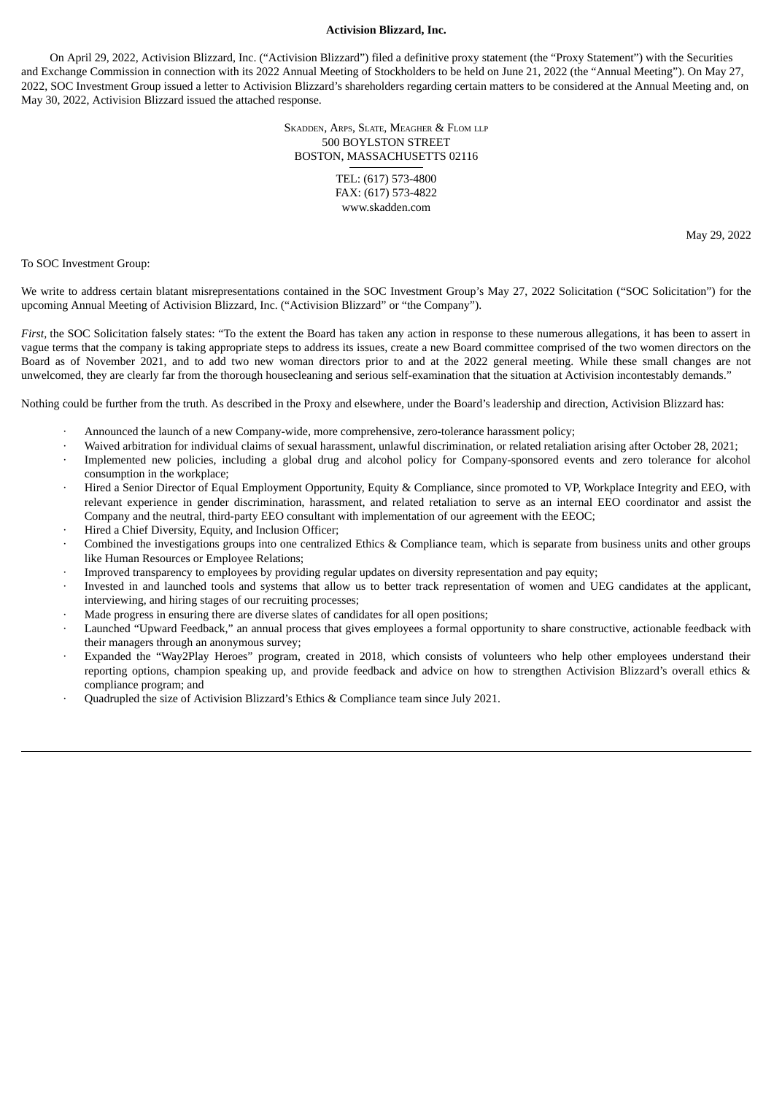## **Activision Blizzard, Inc.**

On April 29, 2022, Activision Blizzard, Inc. ("Activision Blizzard") filed a definitive proxy statement (the "Proxy Statement") with the Securities and Exchange Commission in connection with its 2022 Annual Meeting of Stockholders to be held on June 21, 2022 (the "Annual Meeting"). On May 27, 2022, SOC Investment Group issued a letter to Activision Blizzard's shareholders regarding certain matters to be considered at the Annual Meeting and, on May 30, 2022, Activision Blizzard issued the attached response.

> SKADDEN, ARPS, SLATE, MEAGHER & FLOM LLP 500 BOYLSTON STREET BOSTON, MASSACHUSETTS 02116

> > TEL: (617) 573-4800 FAX: (617) 573-4822 www.skadden.com

> > > May 29, 2022

To SOC Investment Group:

We write to address certain blatant misrepresentations contained in the SOC Investment Group's May 27, 2022 Solicitation ("SOC Solicitation") for the upcoming Annual Meeting of Activision Blizzard, Inc. ("Activision Blizzard" or "the Company").

*First,* the SOC Solicitation falsely states: "To the extent the Board has taken any action in response to these numerous allegations, it has been to assert in vague terms that the company is taking appropriate steps to address its issues, create a new Board committee comprised of the two women directors on the Board as of November 2021, and to add two new woman directors prior to and at the 2022 general meeting. While these small changes are not unwelcomed, they are clearly far from the thorough housecleaning and serious self-examination that the situation at Activision incontestably demands."

Nothing could be further from the truth. As described in the Proxy and elsewhere, under the Board's leadership and direction, Activision Blizzard has:

- · Announced the launch of a new Company-wide, more comprehensive, zero-tolerance harassment policy;
- · Waived arbitration for individual claims of sexual harassment, unlawful discrimination, or related retaliation arising after October 28, 2021;
- Implemented new policies, including a global drug and alcohol policy for Company-sponsored events and zero tolerance for alcohol consumption in the workplace;
- · Hired a Senior Director of Equal Employment Opportunity, Equity & Compliance, since promoted to VP, Workplace Integrity and EEO, with relevant experience in gender discrimination, harassment, and related retaliation to serve as an internal EEO coordinator and assist the Company and the neutral, third-party EEO consultant with implementation of our agreement with the EEOC;
- Hired a Chief Diversity, Equity, and Inclusion Officer;
- Combined the investigations groups into one centralized Ethics & Compliance team, which is separate from business units and other groups like Human Resources or Employee Relations;
- · Improved transparency to employees by providing regular updates on diversity representation and pay equity;
- · Invested in and launched tools and systems that allow us to better track representation of women and UEG candidates at the applicant, interviewing, and hiring stages of our recruiting processes;
- Made progress in ensuring there are diverse slates of candidates for all open positions;
- Launched "Upward Feedback," an annual process that gives employees a formal opportunity to share constructive, actionable feedback with their managers through an anonymous survey;
- Expanded the "Way2Play Heroes" program, created in 2018, which consists of volunteers who help other employees understand their reporting options, champion speaking up, and provide feedback and advice on how to strengthen Activision Blizzard's overall ethics & compliance program; and
- · Quadrupled the size of Activision Blizzard's Ethics & Compliance team since July 2021.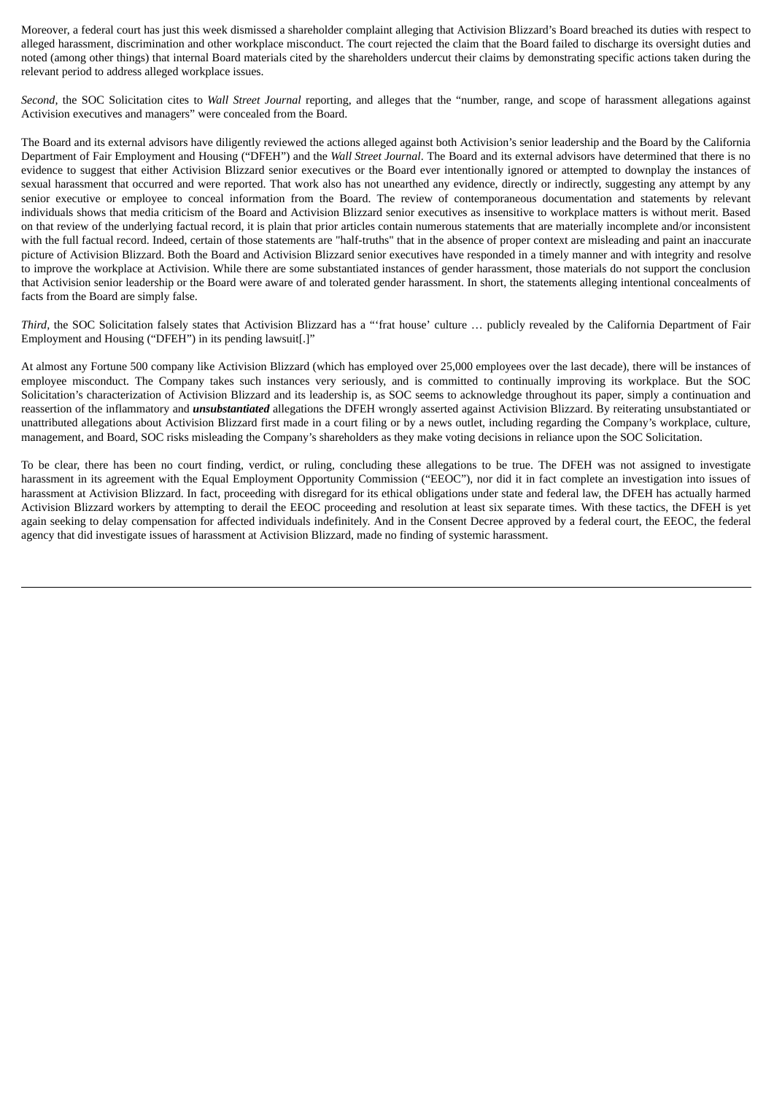Moreover, a federal court has just this week dismissed a shareholder complaint alleging that Activision Blizzard's Board breached its duties with respect to alleged harassment, discrimination and other workplace misconduct. The court rejected the claim that the Board failed to discharge its oversight duties and noted (among other things) that internal Board materials cited by the shareholders undercut their claims by demonstrating specific actions taken during the relevant period to address alleged workplace issues.

*Second,* the SOC Solicitation cites to *Wall Street Journal* reporting, and alleges that the "number, range, and scope of harassment allegations against Activision executives and managers" were concealed from the Board.

The Board and its external advisors have diligently reviewed the actions alleged against both Activision's senior leadership and the Board by the California Department of Fair Employment and Housing ("DFEH") and the *Wall Street Journal*. The Board and its external advisors have determined that there is no evidence to suggest that either Activision Blizzard senior executives or the Board ever intentionally ignored or attempted to downplay the instances of sexual harassment that occurred and were reported. That work also has not unearthed any evidence, directly or indirectly, suggesting any attempt by any senior executive or employee to conceal information from the Board. The review of contemporaneous documentation and statements by relevant individuals shows that media criticism of the Board and Activision Blizzard senior executives as insensitive to workplace matters is without merit. Based on that review of the underlying factual record, it is plain that prior articles contain numerous statements that are materially incomplete and/or inconsistent with the full factual record. Indeed, certain of those statements are "half-truths" that in the absence of proper context are misleading and paint an inaccurate picture of Activision Blizzard. Both the Board and Activision Blizzard senior executives have responded in a timely manner and with integrity and resolve to improve the workplace at Activision. While there are some substantiated instances of gender harassment, those materials do not support the conclusion that Activision senior leadership or the Board were aware of and tolerated gender harassment. In short, the statements alleging intentional concealments of facts from the Board are simply false.

*Third,* the SOC Solicitation falsely states that Activision Blizzard has a "'frat house' culture … publicly revealed by the California Department of Fair Employment and Housing ("DFEH") in its pending lawsuit[.]"

At almost any Fortune 500 company like Activision Blizzard (which has employed over 25,000 employees over the last decade), there will be instances of employee misconduct. The Company takes such instances very seriously, and is committed to continually improving its workplace. But the SOC Solicitation's characterization of Activision Blizzard and its leadership is, as SOC seems to acknowledge throughout its paper, simply a continuation and reassertion of the inflammatory and *unsubstantiated* allegations the DFEH wrongly asserted against Activision Blizzard. By reiterating unsubstantiated or unattributed allegations about Activision Blizzard first made in a court filing or by a news outlet, including regarding the Company's workplace, culture, management, and Board, SOC risks misleading the Company's shareholders as they make voting decisions in reliance upon the SOC Solicitation.

To be clear, there has been no court finding, verdict, or ruling, concluding these allegations to be true. The DFEH was not assigned to investigate harassment in its agreement with the Equal Employment Opportunity Commission ("EEOC"), nor did it in fact complete an investigation into issues of harassment at Activision Blizzard. In fact, proceeding with disregard for its ethical obligations under state and federal law, the DFEH has actually harmed Activision Blizzard workers by attempting to derail the EEOC proceeding and resolution at least six separate times. With these tactics, the DFEH is yet again seeking to delay compensation for affected individuals indefinitely. And in the Consent Decree approved by a federal court, the EEOC, the federal agency that did investigate issues of harassment at Activision Blizzard, made no finding of systemic harassment.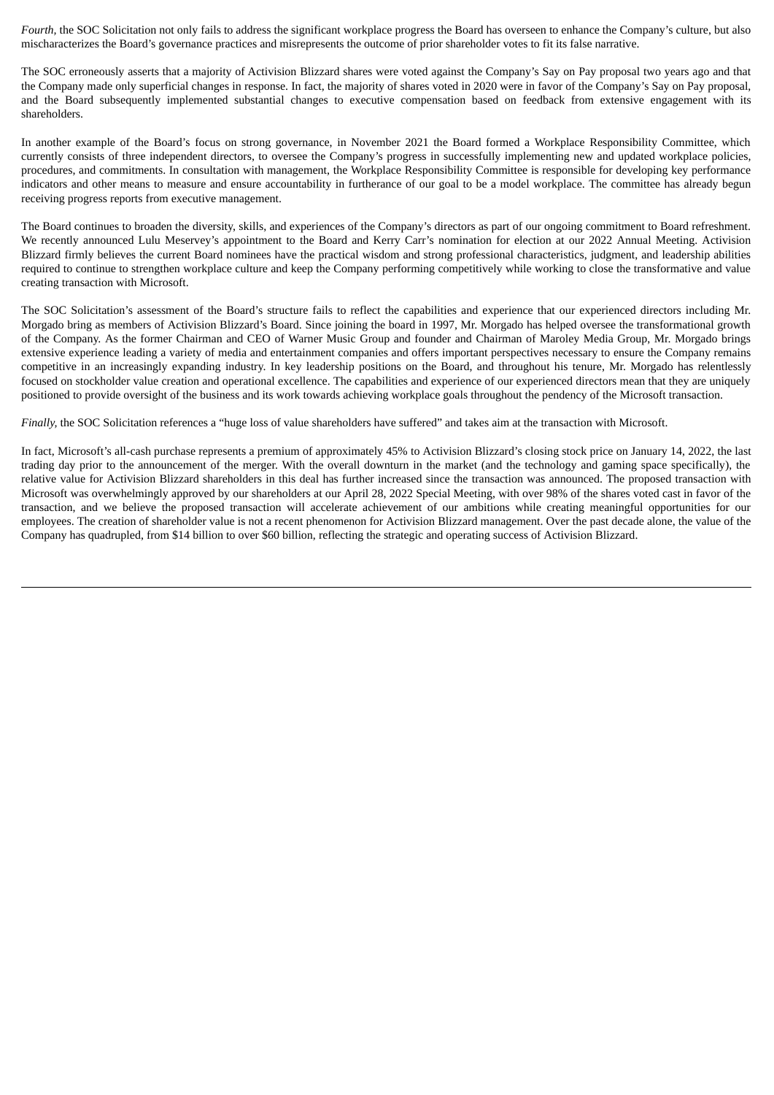*Fourth,* the SOC Solicitation not only fails to address the significant workplace progress the Board has overseen to enhance the Company's culture, but also mischaracterizes the Board's governance practices and misrepresents the outcome of prior shareholder votes to fit its false narrative.

The SOC erroneously asserts that a majority of Activision Blizzard shares were voted against the Company's Say on Pay proposal two years ago and that the Company made only superficial changes in response. In fact, the majority of shares voted in 2020 were in favor of the Company's Say on Pay proposal, and the Board subsequently implemented substantial changes to executive compensation based on feedback from extensive engagement with its shareholders.

In another example of the Board's focus on strong governance, in November 2021 the Board formed a Workplace Responsibility Committee, which currently consists of three independent directors, to oversee the Company's progress in successfully implementing new and updated workplace policies, procedures, and commitments. In consultation with management, the Workplace Responsibility Committee is responsible for developing key performance indicators and other means to measure and ensure accountability in furtherance of our goal to be a model workplace. The committee has already begun receiving progress reports from executive management.

The Board continues to broaden the diversity, skills, and experiences of the Company's directors as part of our ongoing commitment to Board refreshment. We recently announced Lulu Meservey's appointment to the Board and Kerry Carr's nomination for election at our 2022 Annual Meeting. Activision Blizzard firmly believes the current Board nominees have the practical wisdom and strong professional characteristics, judgment, and leadership abilities required to continue to strengthen workplace culture and keep the Company performing competitively while working to close the transformative and value creating transaction with Microsoft.

The SOC Solicitation's assessment of the Board's structure fails to reflect the capabilities and experience that our experienced directors including Mr. Morgado bring as members of Activision Blizzard's Board. Since joining the board in 1997, Mr. Morgado has helped oversee the transformational growth of the Company. As the former Chairman and CEO of Warner Music Group and founder and Chairman of Maroley Media Group, Mr. Morgado brings extensive experience leading a variety of media and entertainment companies and offers important perspectives necessary to ensure the Company remains competitive in an increasingly expanding industry. In key leadership positions on the Board, and throughout his tenure, Mr. Morgado has relentlessly focused on stockholder value creation and operational excellence. The capabilities and experience of our experienced directors mean that they are uniquely positioned to provide oversight of the business and its work towards achieving workplace goals throughout the pendency of the Microsoft transaction.

*Finally,* the SOC Solicitation references a "huge loss of value shareholders have suffered" and takes aim at the transaction with Microsoft.

In fact, Microsoft's all-cash purchase represents a premium of approximately 45% to Activision Blizzard's closing stock price on January 14, 2022, the last trading day prior to the announcement of the merger. With the overall downturn in the market (and the technology and gaming space specifically), the relative value for Activision Blizzard shareholders in this deal has further increased since the transaction was announced. The proposed transaction with Microsoft was overwhelmingly approved by our shareholders at our April 28, 2022 Special Meeting, with over 98% of the shares voted cast in favor of the transaction, and we believe the proposed transaction will accelerate achievement of our ambitions while creating meaningful opportunities for our employees. The creation of shareholder value is not a recent phenomenon for Activision Blizzard management. Over the past decade alone, the value of the Company has quadrupled, from \$14 billion to over \$60 billion, reflecting the strategic and operating success of Activision Blizzard.